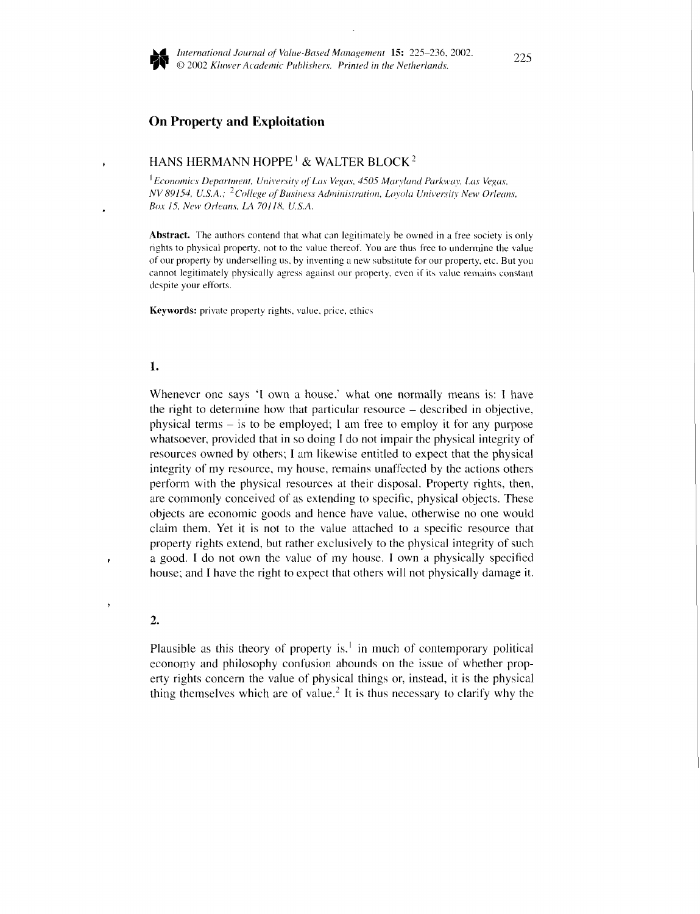

## **On Property and Exploitation**

# HANS HERMANN HOPPE<sup>1</sup> & WALTER BLOCK<sup>2</sup>

<sup>1</sup> Economics Department, University of Las Vegas, 4505 Maryland Parkway, Las Vegas, NV 89154, U.S.A.; <sup>2</sup>College of Business Administration, Loyola University New Orleans, Box 15, New Orleans, LA 70118, U.S.A.

**Abstract.** The authors contend that what can legitimately be owned in a free society is only rights to physical property. not to the value thereof. You are thus free **to** undermine the value of our property by underselling us, by inventing a new substitute for our property, etc. But you cannot legitimately physically agress against our property, even if its value remains constant despite your efforts.

**Keywords:** private property rights, value, price, ethics

### **1.**

Whenever one says 'I own a house,' what one normally means is: I have the right to determine how that particular resource – described in objective, physical terms - is to be employed; I am free to employ it for any purpose whatsoever, provided that in so doing I do not impair the physical integrity of resources owned by others; I am likewise entitled to expect that the physical integrity of my resource, my house, remains unaffected by the actions others perform with the physical resources at their disposal. Property rights, then, are commonly conceived of as extending to specific, physical objects. These objects are economic goods and hence have value, otherwisc no one would claim them. Yet it is not to the value attached to a specific resource that property rights extend, but rather exclusively to the physical integrity of such house; and I have the right to expect that others will not physically damage it. *<sup>1</sup>*a good. I do not own the value of my house. I own a physically specified

#### **2.**

Plausible as this theory of property is,<sup> $\perp$ </sup> in much of contemporary political economy and philosophy confusion abounds on the issue of whether property rights concern the value of physical things or, instead, it is the physical thing themselves which are of value.<sup>2</sup> It is thus necessary to clarify why the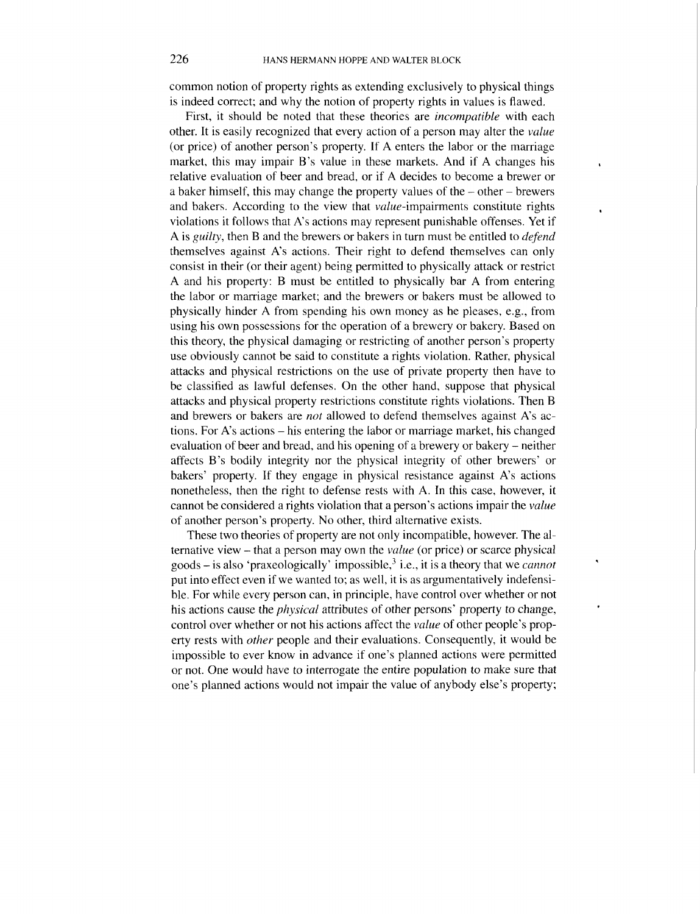common notion of property rights as extending exclusively to physical things is indeed correct; and why the notion of property rights in values is flawed.

**t** 

.

.

First, it should be noted that these theories are incompatible with each other. It is easily recognized that every action of a person may alter the value (or price) of another person's property. If A enters the labor or the marriage market, this may impair B's value in these markets. And if A changes his relative evaluation of beer and bread, or if **A** decides to become a brewer or a baker himself, this may change the property values of the - other - brewers and bakers. According to the view that value-impairments constitute rights violations it follows that A's actions may represent punishable offenses. Yet if **A** is guilty, then B and the brewers or bakers in turn must be entitled to defend themselves against A's actions. Their right to defend themselves can only consist in their (or their agent) being permitted to physically attack or restrict **A** and his property: B must be entitled to physically bar A from entering the labor or marriage market; and the brewers or bakers must be allowed to physically hinder A from spending his own money as he pleases, e.g., from using his own possessions for the operation of a brewery or bakery. Based on this theory, the physical damaging or restricting of another person's property use obviously cannot be said to constitute a rights violation. Rather, physical attacks and physical restrictions on the use of private property then have to be classified as lawful defenses. On the other hand, suppose that physical attacks and physical property restrictions constitute rights violations. Then B and brewers or bakers are *not* allowed to defend themselves against A's actions. For A's actions - his entering the labor or marriage market, his changed evaluation of beer and bread, and his opening of **a** brewery or bakery - neither affects B's bodily integrity nor the physical integrity of other brewers' or bakers' property. If they engage in physical resistance against A's actions nonetheless, then the right to defense rests with A. In this case, however, it cannot be considered a rights violation that a person's actions impair the value of another person's property. No other, third alternative exists.

These two theories of property are not only incompatible, however. The alternative view – that a person may own the *value* (or price) or scarce physical goods  $-$  is also 'praxeologically' impossible,<sup>3</sup> i.e., it is a theory that we *cannot* put into effect even if we wanted to; as well, it is as argumentatively indefensible. For while every person can, in principle, have control over whether or not his actions cause the *physical* attributes of other persons' property to change, control over whether or not his actions affect the *value* of other people's property rests with other people and their evaluations. Consequently, it would be impossible to ever know in advance if one's planned actions were permitted or not. One would have to interrogate the entire population to make sure that one's planned actions would not impair the value of anybody else's property;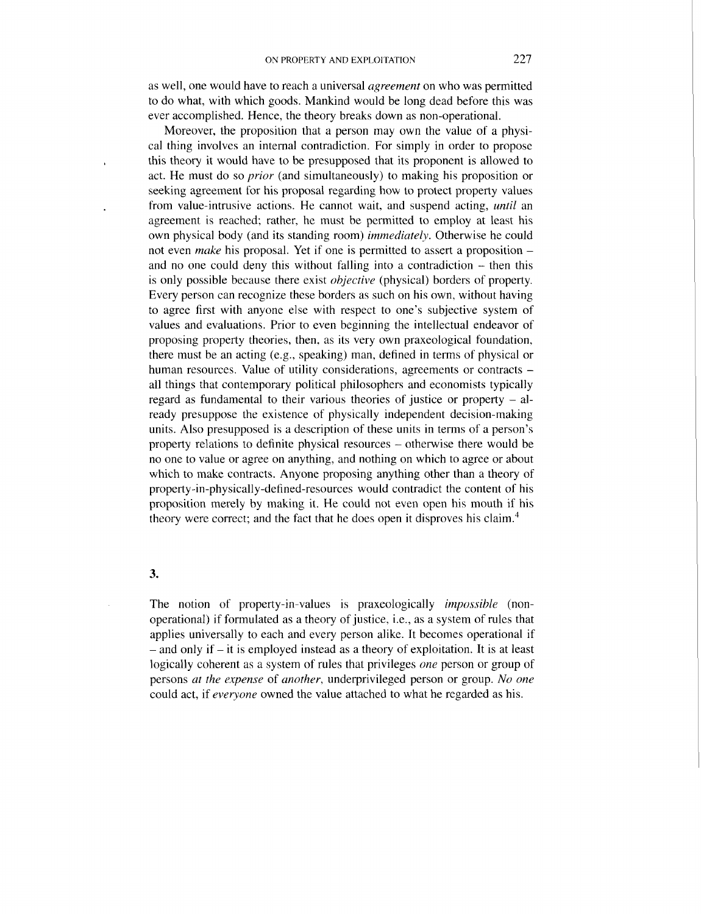as well, one would have to reach a universal *agreement* on who was permitted to do what, with which goods. Mankind would be long dead before this was ever accomplished. Hence, the theory breaks down as non-operational.

Moreover, the proposition that a person may own the value of a physical thing involves an internal contradiction. For simply in order to propose this theory it would have to be presupposed that its proponent is allowed to act. He must do so *prior* (and simultaneously) to making his proposition or seeking agreement for his proposal regarding how to protect property values from value-intrusive actions. He cannot wait, and suspend acting, *until* an agreement is reached; rather, he must be permitted to employ at least his own physical body (and its standing room) *immediately.* Otherwise he could not even *make* his proposal. Yet if one is permitted to assert a proposition – and no one could deny this without falling into a contradiction  $-$  then this is only possible because there exist *objective* (physical) borders of property. Every person can recognize these borders as such on his own, without having to agree first with anyone else with respect to one's subjective system of values and evaluations. Prior to even beginning the intellectual endeavor of proposing property theories, then, as its very own praxeological foundation, there must be an acting (e.g., speaking) man, defined in terms of physical or human resources. Value of utility considerations, agreements or contracts – all things that contemporary political philosophers and economists typically regard as fundamental to their various theories of justice or property  $-$  already presuppose the existence of physically independent decision-making units. Also presupposed is a description of these units in terms of a person's property relations to definite physical resources - otherwise there would be no one to value or agree on anything, and nothing on which to agree or about which to make contracts. Anyone proposing anything other than a theory of property-in-physically-defined-resources would contradict the content of his proposition merely by making it. He could not even open his mouth if his theory were correct; and the fact that he does open it disproves his claim.4

## **3.**

The notion of property-in-values is praxeologically *impossible* (nonoperational) if formulated as a theory of justice, i.e., as a system of rules that applies universally to each and every person alike. It becomes operational if  $-$  and only if  $-$  it is employed instead as a theory of exploitation. It is at least logically coherent as a system of rules that privileges *one* person or group of persons *at the expense* of *another,* underprivileged person or group. *No one*  could act, if *everyone* owned the value attached to what he regarded as his.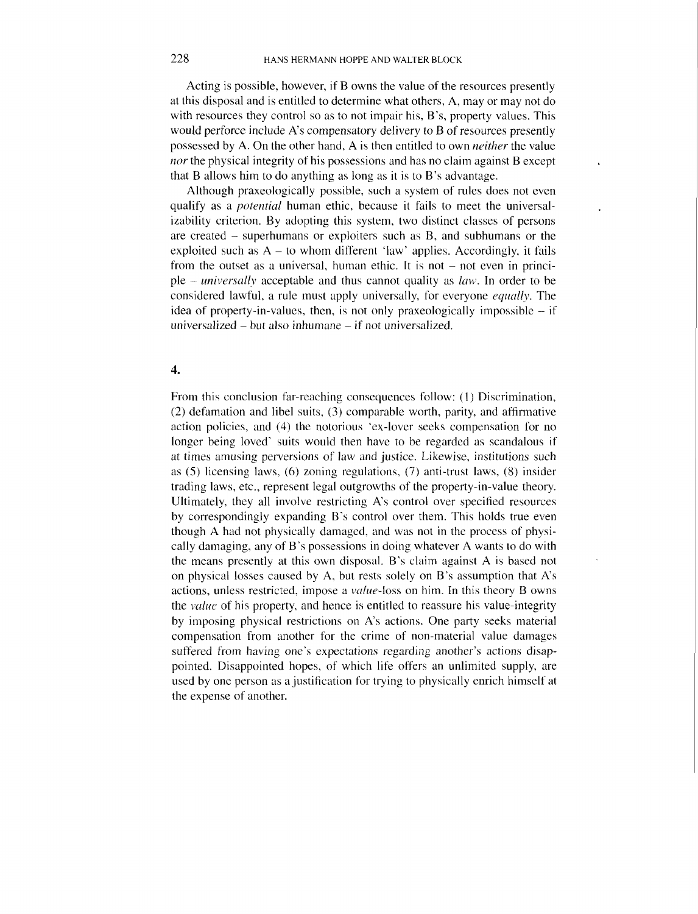Acting is possible, however, if B owns the value of the resources presently at this disposal and is entitled to determine what others, A, may or may not do with resources they control so as to not impair his, B's, property values. This would perforce include A's compensatory delivery to B of resources presently possessed by **A.** On the other hand, A is then entitled to own *neither* the value *nor* the physical integrity of his possessions and has no claim against B except that B allows him to do anything as long as it is to B's advantage.

Although praxeologically possible, such a system of rules does not even qualify as a *potential* human ethic, because it fails to meet the universalizability criterion. By adopting this system, two distinct classes of persons are created - superhumans or exploiters such as B, and subhumans or the exploited such as  $A -$  to whom different 'law' applies. Accordingly, it fails from the outset as a universal, human ethic. It is not  $-$  not even in principle - *iiniversdly* acceptable and thus cannot quality as *law.* In order to be considered lawful, a rule must apply universally, for everyone *equally*. The idea of property-in-values, then, is not only praxeologically impossible  $-$  if universalized  $-$  but also inhumane  $-$  if not universalized.

## **4.**

From this conclusion far-reaching consequences follow: (1) Discrimination, (2) defamation and libel suits, *(3)* comparable worth, parity, and affirmative action policies, and (4) the notorious 'ex-lover seeks compensation for no longer being loved' suits would then have to be regarded as scandalous if at times amusing perversions of law and justice. Likewise, institutions such as *(5)* licensing laws, (6) zoning regulations, (7) anti-trust laws, (8) insider trading laws, etc., represent legal outgrowths of the property-in-value theory. Ultimately, they all involve restricting A's control over specified resources by correspondingly expanding B's control over them. This holds true even though A had not physically damaged, and was not in the process of physically damaging, any of B's possessions in doing whatever A wants lo do with the means presently at this own disposal. B's claim against A is based not on physical losses caused by A, but rests solely on B's assumption that A's actions, unless restricted, impose a *va(ue-loss* on him. In this theory B owns the *value* of his property, and hence is entitled to reassure his value-integrity by imposing physical restrictions on **A's** actions. One party seeks material compensation from another for the crime of non-material value damages suffered from having one's expectations regarding another's actions disappointed. Disappointed hopes, of which life offers an unlimited supply, are used by one person as a justification for trying to physically enrich himself at the expense of another.